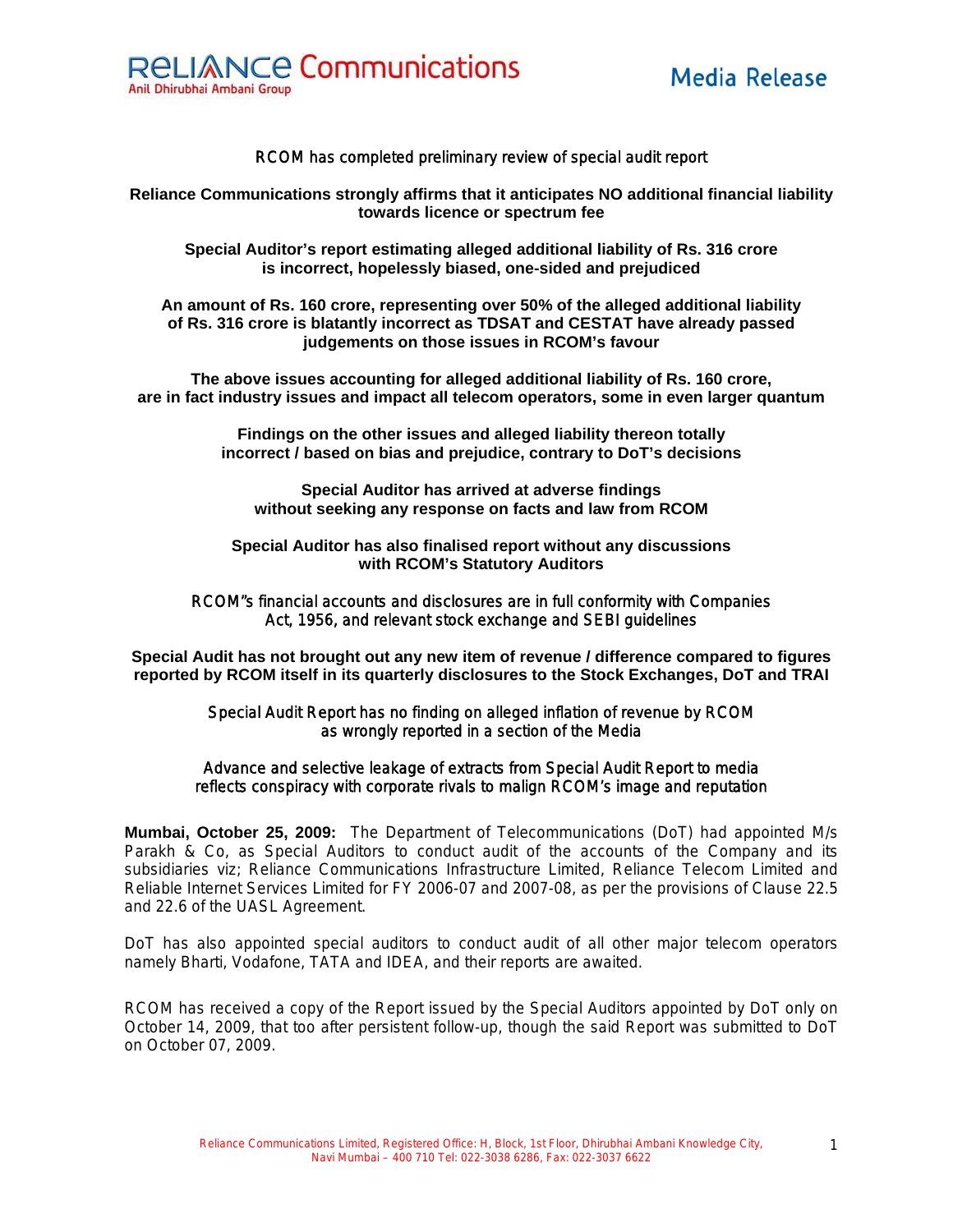

# RCOM has completed preliminary review of special audit report

**Reliance Communications strongly affirms that it anticipates NO additional financial liability towards licence or spectrum fee** 

**Special Auditor's report estimating alleged additional liability of Rs. 316 crore is incorrect, hopelessly biased, one-sided and prejudiced** 

**An amount of Rs. 160 crore, representing over 50% of the alleged additional liability of Rs. 316 crore is blatantly incorrect as TDSAT and CESTAT have already passed judgements on those issues in RCOM's favour** 

**The above issues accounting for alleged additional liability of Rs. 160 crore, are in fact industry issues and impact all telecom operators, some in even larger quantum** 

> **Findings on the other issues and alleged liability thereon totally incorrect / based on bias and prejudice, contrary to DoT's decisions**

**Special Auditor has arrived at adverse findings without seeking any response on facts and law from RCOM** 

**Special Auditor has also finalised report without any discussions with RCOM's Statutory Auditors** 

## RCOM"s financial accounts and disclosures are in full conformity with Companies Act, 1956, and relevant stock exchange and SEBI guidelines

**Special Audit has not brought out any new item of revenue / difference compared to figures reported by RCOM itself in its quarterly disclosures to the Stock Exchanges, DoT and TRAI**

> Special Audit Report has no finding on alleged inflation of revenue by RCOM as wrongly reported in a section of the Media

## Advance and selective leakage of extracts from Special Audit Report to media reflects conspiracy with corporate rivals to malign RCOM's image and reputation

**Mumbai, October 25, 2009:** The Department of Telecommunications (DoT) had appointed M/s Parakh & Co, as Special Auditors to conduct audit of the accounts of the Company and its subsidiaries viz; Reliance Communications Infrastructure Limited, Reliance Telecom Limited and Reliable Internet Services Limited for FY 2006-07 and 2007-08, as per the provisions of Clause 22.5 and 22.6 of the UASL Agreement.

DoT has also appointed special auditors to conduct audit of all other major telecom operators namely Bharti, Vodafone, TATA and IDEA, and their reports are awaited.

RCOM has received a copy of the Report issued by the Special Auditors appointed by DoT only on October 14, 2009, that too after persistent follow-up, though the said Report was submitted to DoT on October 07, 2009.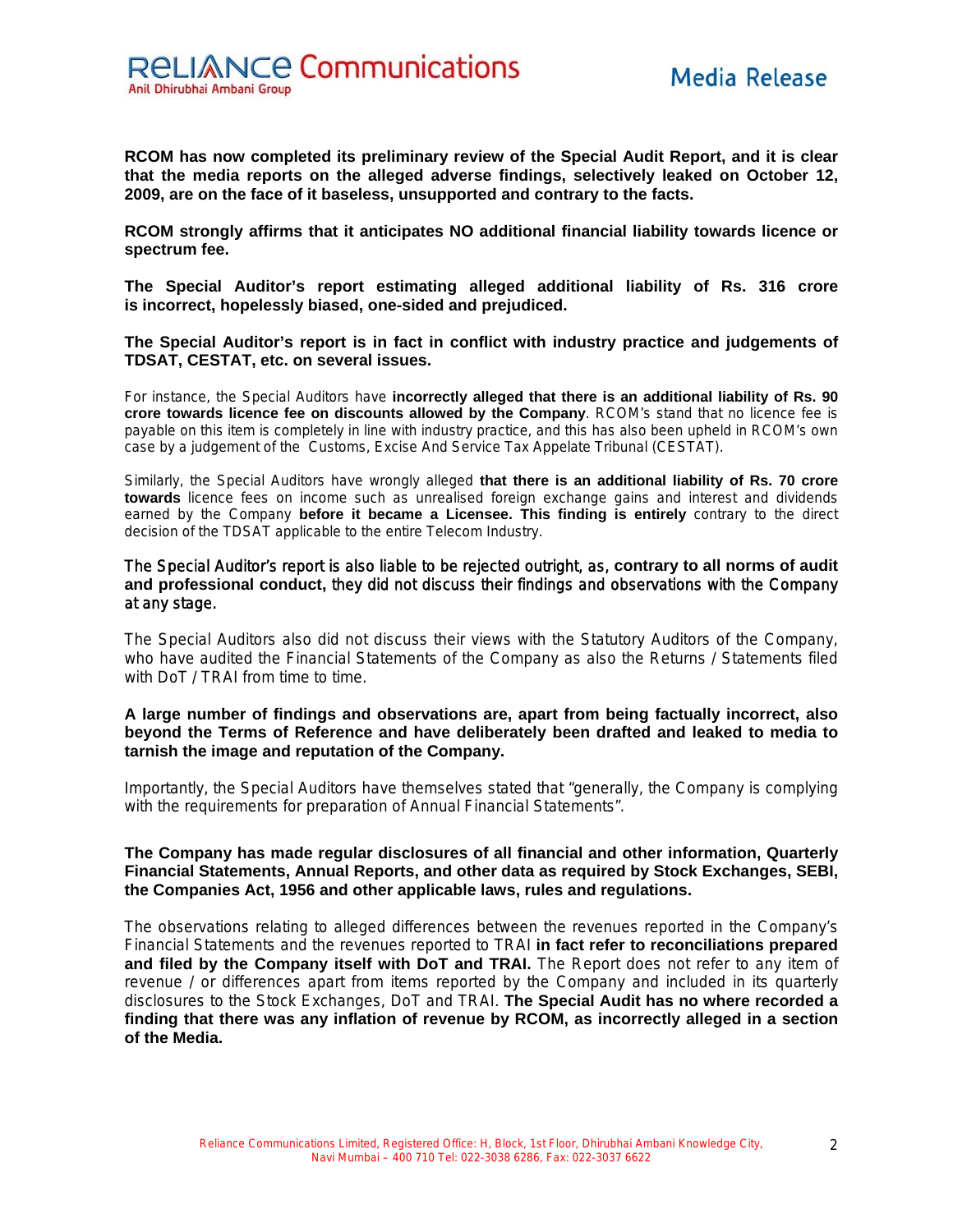**RCOM has now completed its preliminary review of the Special Audit Report, and it is clear that the media reports on the alleged adverse findings, selectively leaked on October 12, 2009, are on the face of it baseless, unsupported and contrary to the facts.** 

**RCOM strongly affirms that it anticipates NO additional financial liability towards licence or spectrum fee.** 

**The Special Auditor's report estimating alleged additional liability of Rs. 316 crore is incorrect, hopelessly biased, one-sided and prejudiced.** 

**The Special Auditor's report is in fact in conflict with industry practice and judgements of TDSAT, CESTAT, etc. on several issues.** 

For instance, the Special Auditors have **incorrectly alleged that there is an additional liability of Rs. 90 crore towards licence fee on discounts allowed by the Company**. RCOM's stand that no licence fee is payable on this item is completely in line with industry practice, and this has also been upheld in RCOM's own case by a judgement of the Customs, Excise And Service Tax Appelate Tribunal (CESTAT).

Similarly, the Special Auditors have wrongly alleged **that there is an additional liability of Rs. 70 crore towards** licence fees on income such as unrealised foreign exchange gains and interest and dividends earned by the Company **before it became a Licensee. This finding is entirely** contrary to the direct decision of the TDSAT applicable to the entire Telecom Industry.

The Special Auditor's report is also liable to be rejected outright, as, **contrary to all norms of audit and professional conduct,** they did not discuss their findings and observations with the Company at any stage.

The Special Auditors also did not discuss their views with the Statutory Auditors of the Company, who have audited the Financial Statements of the Company as also the Returns / Statements filed with DoT / TRAI from time to time.

#### **A large number of findings and observations are, apart from being factually incorrect, also beyond the Terms of Reference and have deliberately been drafted and leaked to media to tarnish the image and reputation of the Company.**

Importantly, the Special Auditors have themselves stated that "generally, the Company is complying with the requirements for preparation of Annual Financial Statements".

### **The Company has made regular disclosures of all financial and other information, Quarterly Financial Statements, Annual Reports, and other data as required by Stock Exchanges, SEBI, the Companies Act, 1956 and other applicable laws, rules and regulations.**

The observations relating to alleged differences between the revenues reported in the Company's Financial Statements and the revenues reported to TRAI **in fact refer to reconciliations prepared and filed by the Company itself with DoT and TRAI.** The Report does not refer to any item of revenue / or differences apart from items reported by the Company and included in its quarterly disclosures to the Stock Exchanges, DoT and TRAI. **The Special Audit has no where recorded a finding that there was any inflation of revenue by RCOM, as incorrectly alleged in a section of the Media.**